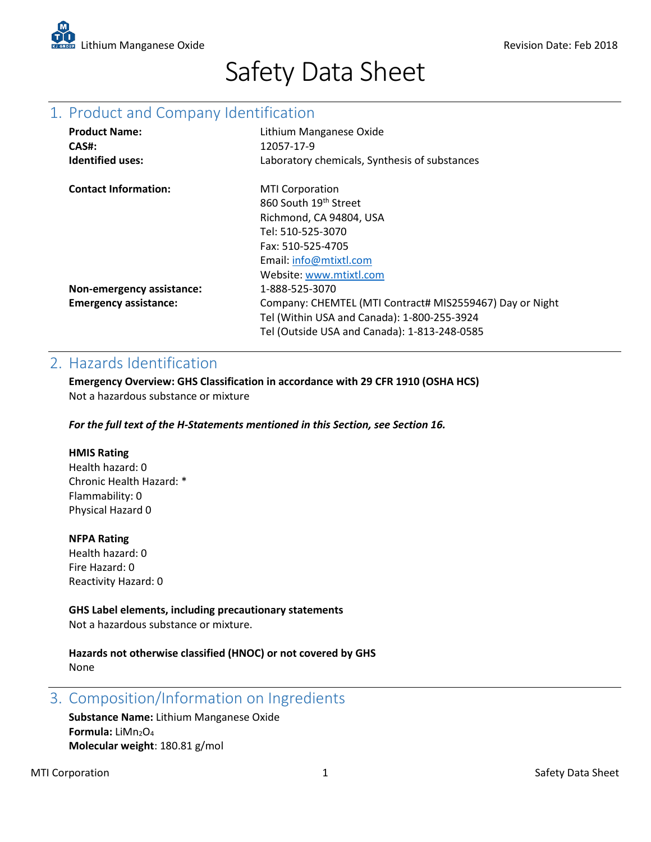

# Safety Data Sheet

# 1. Product and Company Identification

| <b>Product Name:</b>         | Lithium Manganese Oxide                                  |
|------------------------------|----------------------------------------------------------|
| CAS#:                        | 12057-17-9                                               |
| <b>Identified uses:</b>      | Laboratory chemicals, Synthesis of substances            |
| <b>Contact Information:</b>  | <b>MTI Corporation</b>                                   |
|                              | 860 South 19th Street                                    |
|                              | Richmond, CA 94804, USA                                  |
|                              | Tel: 510-525-3070                                        |
|                              | Fax: 510-525-4705                                        |
|                              | Email: info@mtixtl.com                                   |
|                              | Website: www.mtixtl.com                                  |
| Non-emergency assistance:    | 1-888-525-3070                                           |
| <b>Emergency assistance:</b> | Company: CHEMTEL (MTI Contract# MIS2559467) Day or Night |
|                              | Tel (Within USA and Canada): 1-800-255-3924              |
|                              | Tel (Outside USA and Canada): 1-813-248-0585             |

### 2. Hazards Identification

**Emergency Overview: GHS Classification in accordance with 29 CFR 1910 (OSHA HCS)** Not a hazardous substance or mixture

*For the full text of the H-Statements mentioned in this Section, see Section 16.*

#### **HMIS Rating**

Health hazard: 0 Chronic Health Hazard: \* Flammability: 0 Physical Hazard 0

#### **NFPA Rating**

Health hazard: 0 Fire Hazard: 0 Reactivity Hazard: 0

#### **GHS Label elements, including precautionary statements**

Not a hazardous substance or mixture.

**Hazards not otherwise classified (HNOC) or not covered by GHS** None

3. Composition/Information on Ingredients

**Substance Name:** Lithium Manganese Oxide Formula: LiMn<sub>2</sub>O<sub>4</sub> **Molecular weight**: 180.81 g/mol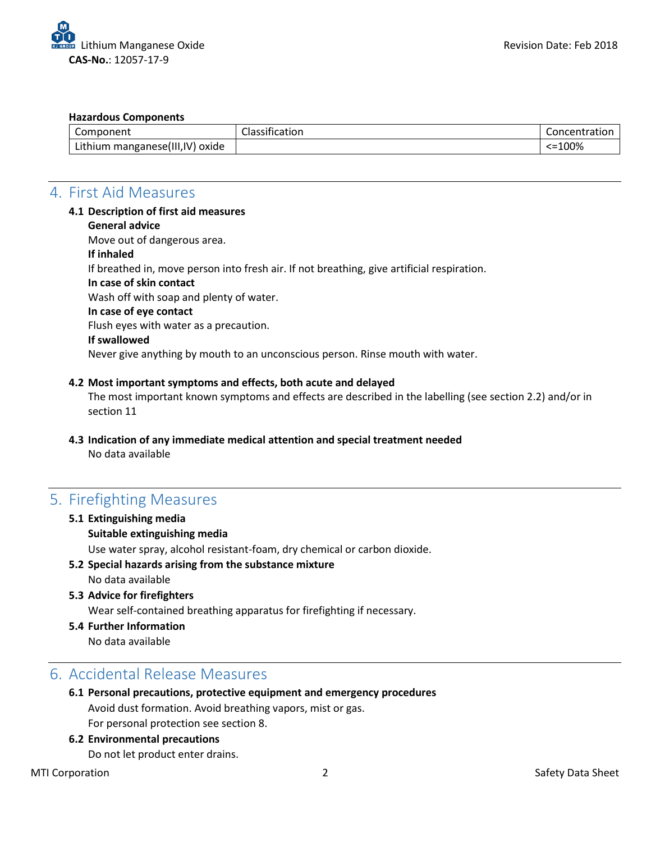#### **Hazardous Components**

| $\sim$<br>Component                 | Classification | Concentration |
|-------------------------------------|----------------|---------------|
| Lithium manganese(III, IV)<br>oxide |                | $< = 100%$    |

### 4. First Aid Measures

#### **4.1 Description of first aid measures**

**General advice**

Move out of dangerous area.

**If inhaled**

If breathed in, move person into fresh air. If not breathing, give artificial respiration.

**In case of skin contact** 

Wash off with soap and plenty of water.

# **In case of eye contact**

Flush eyes with water as a precaution.

#### **If swallowed**

Never give anything by mouth to an unconscious person. Rinse mouth with water.

#### **4.2 Most important symptoms and effects, both acute and delayed**

The most important known symptoms and effects are described in the labelling (see section 2.2) and/or in section 11

**4.3 Indication of any immediate medical attention and special treatment needed**  No data available

### 5. Firefighting Measures

**5.1 Extinguishing media Suitable extinguishing media**

Use water spray, alcohol resistant-foam, dry chemical or carbon dioxide.

- **5.2 Special hazards arising from the substance mixture** No data available
- **5.3 Advice for firefighters** Wear self-contained breathing apparatus for firefighting if necessary.
- **5.4 Further Information**
	- No data available

### 6. Accidental Release Measures

- **6.1 Personal precautions, protective equipment and emergency procedures**  Avoid dust formation. Avoid breathing vapors, mist or gas. For personal protection see section 8.
- **6.2 Environmental precautions**

Do not let product enter drains.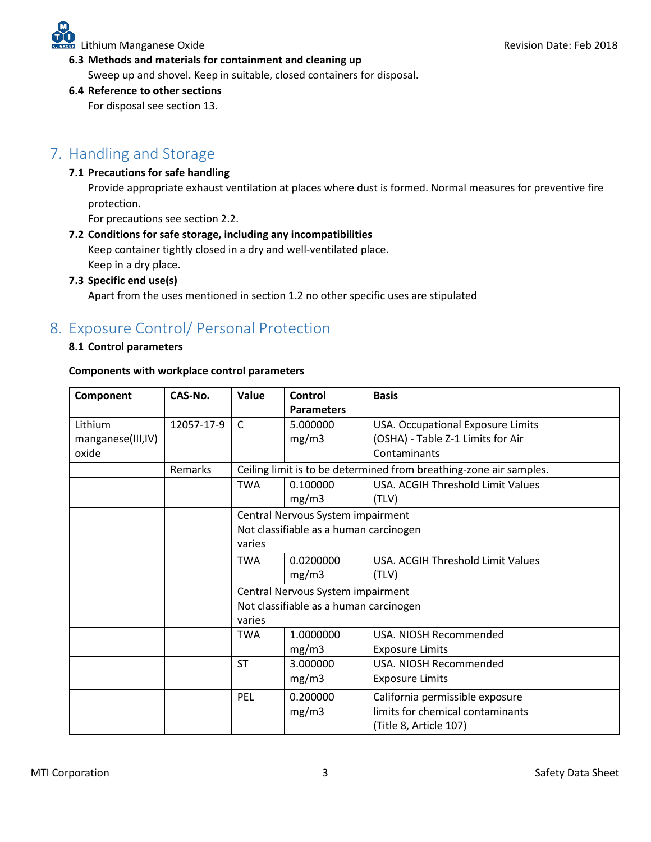**6.3 Methods and materials for containment and cleaning up** 

Sweep up and shovel. Keep in suitable, closed containers for disposal.

#### **6.4 Reference to other sections**

For disposal see section 13.

# 7. Handling and Storage

#### **7.1 Precautions for safe handling**

Provide appropriate exhaust ventilation at places where dust is formed. Normal measures for preventive fire protection.

For precautions see section 2.2.

#### **7.2 Conditions for safe storage, including any incompatibilities**

Keep container tightly closed in a dry and well-ventilated place. Keep in a dry place.

#### **7.3 Specific end use(s)**

Apart from the uses mentioned in section 1.2 no other specific uses are stipulated

### 8. Exposure Control/ Personal Protection

#### **8.1 Control parameters**

#### **Components with workplace control parameters**

| Component         | CAS-No.    | Value                                                              | Control                                        | <b>Basis</b>                      |
|-------------------|------------|--------------------------------------------------------------------|------------------------------------------------|-----------------------------------|
|                   |            |                                                                    | <b>Parameters</b>                              |                                   |
| Lithium           | 12057-17-9 | $\mathsf{C}$                                                       | 5.000000                                       | USA. Occupational Exposure Limits |
| manganese(III,IV) |            |                                                                    | mg/m3                                          | (OSHA) - Table Z-1 Limits for Air |
| oxide             |            |                                                                    |                                                | Contaminants                      |
|                   | Remarks    | Ceiling limit is to be determined from breathing-zone air samples. |                                                |                                   |
|                   |            | <b>TWA</b>                                                         | 0.100000                                       | USA. ACGIH Threshold Limit Values |
|                   |            |                                                                    | mg/m3                                          | (TLV)                             |
|                   |            | Central Nervous System impairment                                  |                                                |                                   |
|                   |            | Not classifiable as a human carcinogen                             |                                                |                                   |
|                   |            | varies                                                             |                                                |                                   |
|                   |            | <b>TWA</b>                                                         | 0.0200000<br>USA. ACGIH Threshold Limit Values |                                   |
|                   |            |                                                                    | mg/m3                                          | (TLV)                             |
|                   |            | Central Nervous System impairment                                  |                                                |                                   |
|                   |            | Not classifiable as a human carcinogen                             |                                                |                                   |
|                   |            | varies                                                             |                                                |                                   |
|                   |            | <b>TWA</b>                                                         | 1.0000000                                      | USA. NIOSH Recommended            |
|                   |            |                                                                    | mg/m3                                          | <b>Exposure Limits</b>            |
|                   |            | <b>ST</b>                                                          | 3.000000                                       | USA. NIOSH Recommended            |
|                   |            |                                                                    | mg/m3                                          | <b>Exposure Limits</b>            |
|                   |            | PEL                                                                | 0.200000                                       | California permissible exposure   |
|                   |            |                                                                    | mg/m3                                          | limits for chemical contaminants  |
|                   |            |                                                                    |                                                | (Title 8, Article 107)            |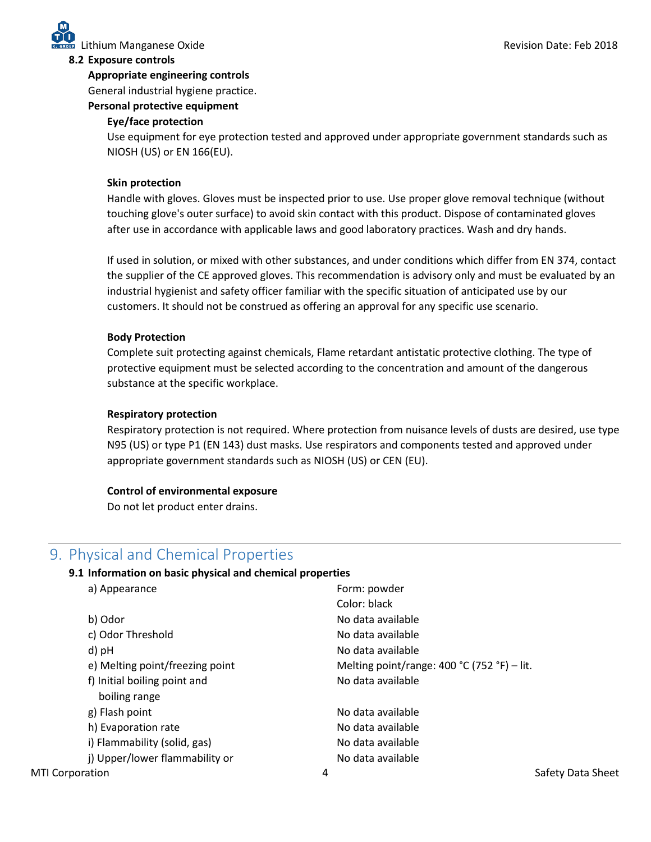#### **8.2 Exposure controls**

#### **Appropriate engineering controls**

General industrial hygiene practice.

#### **Personal protective equipment**

#### **Eye/face protection**

Use equipment for eye protection tested and approved under appropriate government standards such as NIOSH (US) or EN 166(EU).

#### **Skin protection**

Handle with gloves. Gloves must be inspected prior to use. Use proper glove removal technique (without touching glove's outer surface) to avoid skin contact with this product. Dispose of contaminated gloves after use in accordance with applicable laws and good laboratory practices. Wash and dry hands.

If used in solution, or mixed with other substances, and under conditions which differ from EN 374, contact the supplier of the CE approved gloves. This recommendation is advisory only and must be evaluated by an industrial hygienist and safety officer familiar with the specific situation of anticipated use by our customers. It should not be construed as offering an approval for any specific use scenario.

#### **Body Protection**

Complete suit protecting against chemicals, Flame retardant antistatic protective clothing. The type of protective equipment must be selected according to the concentration and amount of the dangerous substance at the specific workplace.

#### **Respiratory protection**

Respiratory protection is not required. Where protection from nuisance levels of dusts are desired, use type N95 (US) or type P1 (EN 143) dust masks. Use respirators and components tested and approved under appropriate government standards such as NIOSH (US) or CEN (EU).

#### **Control of environmental exposure**

Do not let product enter drains.

### 9. Physical and Chemical Properties

#### **9.1 Information on basic physical and chemical properties**

| a) Appearance                                 | Form: powder                                |
|-----------------------------------------------|---------------------------------------------|
|                                               | Color: black                                |
| b) Odor                                       | No data available                           |
| c) Odor Threshold                             | No data available                           |
| d) pH                                         | No data available                           |
| e) Melting point/freezing point               | Melting point/range: 400 °C (752 °F) – lit. |
| f) Initial boiling point and<br>boiling range | No data available                           |
| g) Flash point                                | No data available                           |
| h) Evaporation rate                           | No data available                           |
| i) Flammability (solid, gas)                  | No data available                           |
| j) Upper/lower flammability or                | No data available                           |
| <b>MTI Corporation</b>                        | Safety Data Sheet<br>4                      |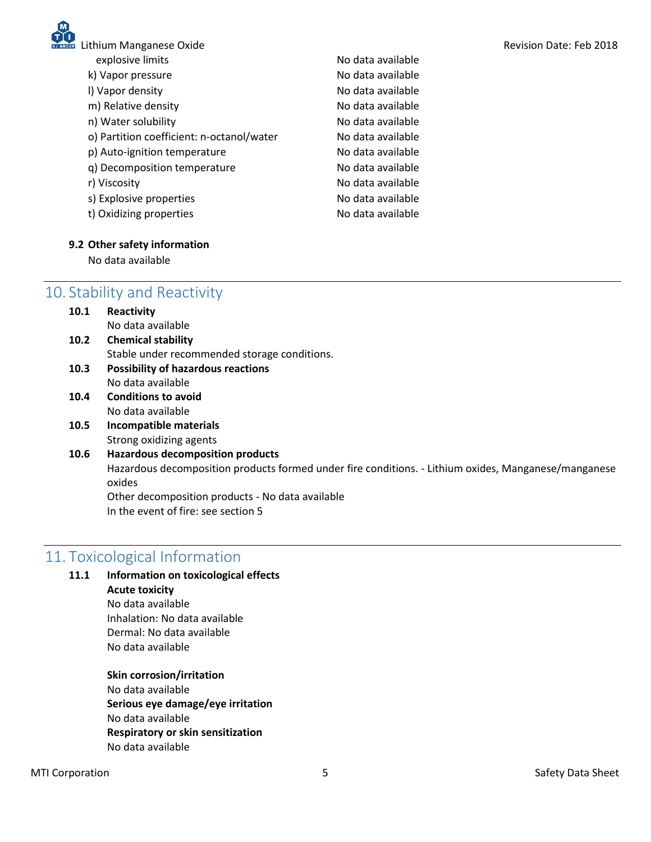

| Lithium Manganese Oxide                   |                   | Revision Date: Feb 2018 |
|-------------------------------------------|-------------------|-------------------------|
| explosive limits                          | No data available |                         |
| k) Vapor pressure                         | No data available |                         |
| I) Vapor density                          | No data available |                         |
| m) Relative density                       | No data available |                         |
| n) Water solubility                       | No data available |                         |
| o) Partition coefficient: n-octanol/water | No data available |                         |
| p) Auto-ignition temperature              | No data available |                         |
| q) Decomposition temperature              | No data available |                         |
| r) Viscosity                              | No data available |                         |
| s) Explosive properties                   | No data available |                         |
| t) Oxidizing properties                   | No data available |                         |
|                                           |                   |                         |

#### **9.2 Other safety information**

No data available

# 10. Stability and Reactivity

| 10.1 | Reactivity                                      |
|------|-------------------------------------------------|
|      | No data available                               |
| 10.2 | <b>Chemical stability</b>                       |
|      | Stable under recommended storage conditions.    |
| 10.3 | <b>Possibility of hazardous reactions</b>       |
|      | No data available                               |
| 10.4 | <b>Conditions to avoid</b>                      |
|      | No data available                               |
| 10.5 | Incompatible materials                          |
|      | Strong oxidizing agents                         |
| 10.6 | <b>Hazardous decomposition products</b>         |
|      | Hazardous decomposition products formed under f |

Hazardous decomposition products formed under fire conditions. - Lithium oxides, Manganese/manganese oxides

Other decomposition products - No data available In the event of fire: see section 5

# 11. Toxicological Information

| 11.1 | Information on toxicological effects |  |  |
|------|--------------------------------------|--|--|
|      | <b>Acute toxicity</b>                |  |  |
|      | No data available                    |  |  |
|      | Inhalation: No data available        |  |  |
|      | Dermal: No data available            |  |  |
|      | No data available                    |  |  |

### **Skin corrosion/irritation**

No data available **Serious eye damage/eye irritation** No data available **Respiratory or skin sensitization** No data available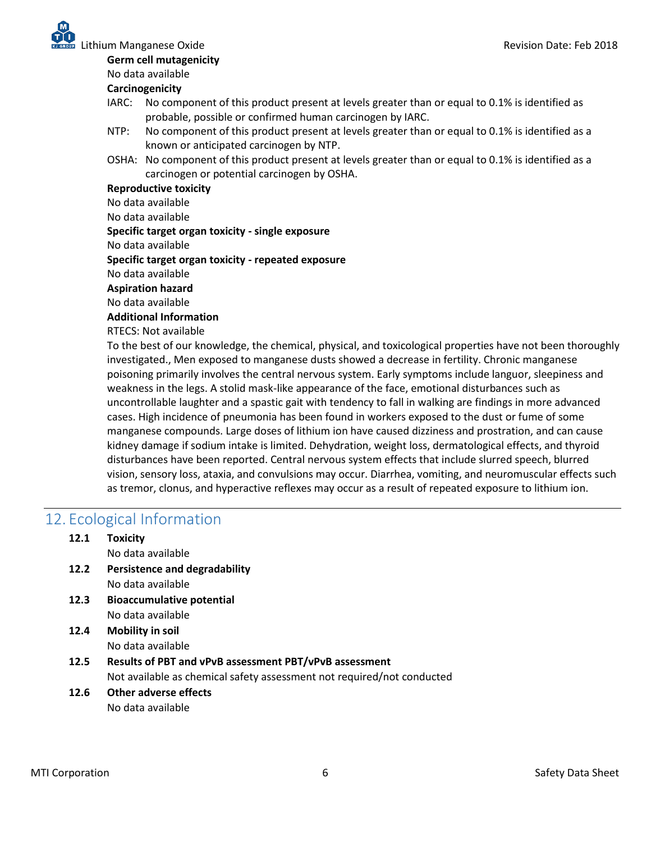

**Germ cell mutagenicity**

No data available

#### **Carcinogenicity**

- IARC: No component of this product present at levels greater than or equal to 0.1% is identified as probable, possible or confirmed human carcinogen by IARC.
- NTP: No component of this product present at levels greater than or equal to 0.1% is identified as a known or anticipated carcinogen by NTP.
- OSHA: No component of this product present at levels greater than or equal to 0.1% is identified as a carcinogen or potential carcinogen by OSHA.

#### **Reproductive toxicity**

No data available

No data available

#### **Specific target organ toxicity - single exposure**

No data available

**Specific target organ toxicity - repeated exposure**

No data available

#### **Aspiration hazard**

No data available

#### **Additional Information**

RTECS: Not available

To the best of our knowledge, the chemical, physical, and toxicological properties have not been thoroughly investigated., Men exposed to manganese dusts showed a decrease in fertility. Chronic manganese poisoning primarily involves the central nervous system. Early symptoms include languor, sleepiness and weakness in the legs. A stolid mask-like appearance of the face, emotional disturbances such as uncontrollable laughter and a spastic gait with tendency to fall in walking are findings in more advanced cases. High incidence of pneumonia has been found in workers exposed to the dust or fume of some manganese compounds. Large doses of lithium ion have caused dizziness and prostration, and can cause kidney damage if sodium intake is limited. Dehydration, weight loss, dermatological effects, and thyroid disturbances have been reported. Central nervous system effects that include slurred speech, blurred vision, sensory loss, ataxia, and convulsions may occur. Diarrhea, vomiting, and neuromuscular effects such as tremor, clonus, and hyperactive reflexes may occur as a result of repeated exposure to lithium ion.

## 12. Ecological Information

| 12.1 | <b>Toxicity</b>                                                        |
|------|------------------------------------------------------------------------|
|      | No data available                                                      |
| 12.2 | Persistence and degradability                                          |
|      | No data available                                                      |
| 12.3 | <b>Bioaccumulative potential</b>                                       |
|      | No data available                                                      |
| 12.4 | <b>Mobility in soil</b>                                                |
|      | No data available                                                      |
| 12.5 | Results of PBT and vPvB assessment PBT/vPvB assessment                 |
|      | Not available as chemical safety assessment not required/not conducted |
| 12.6 | Other adverse effects                                                  |
|      | No data available                                                      |
|      |                                                                        |